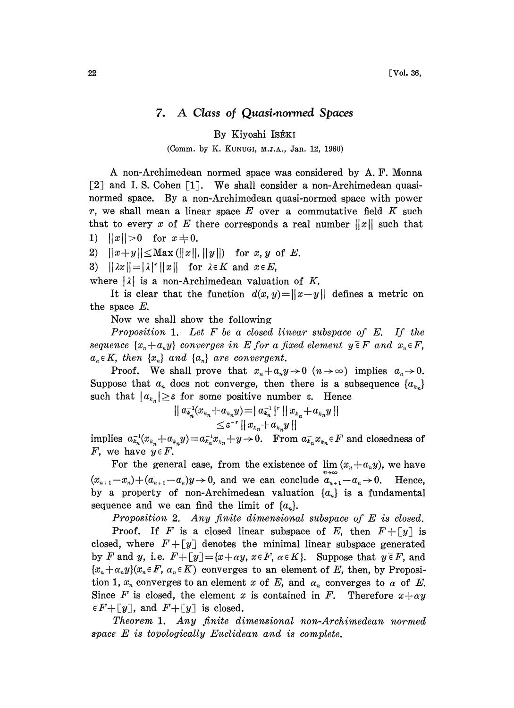## 7. A Class of Quasi-normed Spaces

## By Kiyoshi ISÉKI

## (Comm. by K. KUNUGI, M.J.A., Jan. 12, 1960)

A non-Archimedean normed space was considered by A. F. Monna [2] and I. S. Cohen  $\lceil 1 \rceil$ . We shall consider a non-Archimedean quasinormed space. By a non-Archimedean quasi-normed space with power  $r$ , we shall mean a linear space  $E$  over a commutative field  $K$  such that to every x of E there corresponds a real number  $||x||$  such that 1)  $||x||>0$  for  $x \neq 0$ .

2)  $||x+y|| \leq Max(||x||, ||y||)$  for x, y of E.

3)  $|| \lambda x || = |\lambda|^r ||x||$  for  $\lambda \in K$  and  $x \in E$ ,

where  $|\lambda|$  is a non-Archimedean valuation of K.

It is clear that the function  $d(x, y) = ||x - y||$  defines a metric on the space E.

Now we shall show the following

Proposition 1. Let  $F$  be a closed linear subspace of  $E$ . If the sequence  $\{x_n+a_ny\}$  converges in E for a fixed element  $y \in F$  and  $x_n \in F$ ,  $a_n \in K$ , then  $\{x_n\}$  and  $\{a_n\}$  are convergent.

Proof. We shall prove that  $x_n + a_n y \to 0$   $(n \to \infty)$  implies  $a_n \to 0$ . Suppose that  $a_n$  does not converge, then there is a subsequence  $\{a_{k_n}\}$ such that  $|a_{k_n}| \geq \varepsilon$  for some positive number  $\varepsilon$ . Hence

$$
| a_{k_n}^{-1}(x_{k_n} + a_{k_n}y) = | a_{k_n}^{-1}|^r || x_{k_n} + a_{k_n}y ||
$$
  

$$
\leq \varepsilon^{-r} || x_{k_n} + a_{k_n}y ||
$$

implies  $a_{k_n}^{-1}(x_{k_n}+a_{k_n}y)=a_{k_n}^{-1}x_{k_n}+y\to 0$ . From  $a_{k_n}^{-1}x_{k_n}\in F$  and closedness of F, we have  $y \in F$ .

For the general case, from the existence of  $\lim (x_n+a_n y)$ , we have  $(x_{n+1}-x_n)+(a_{n+1}-a_n)y\rightarrow 0$ , and we can conclude  $a_{n+1}-a_n\rightarrow 0$ . Hence, by a property of non-Archimedean valuation  $\{a_n\}$  is a fundamental sequence and we can find the limit of  $\{a_n\}$ .

Proposition 2. Any finite dimensional subspace of E is closed.

Proof. If F is a closed linear subspace of E, then  $F + [y]$  is closed, where  $F+[y]$  denotes the minimal linear subspace generated by F and y, i.e.  $F+[y] = \{x+\alpha y, x \in F, \alpha \in K\}$ . Suppose that  $y \in F$ , and  $\{x_n+\alpha_n y\}(x_n \in F, \alpha_n \in K)$  converges to an element of E, then, by Proposition 1,  $x_n$  converges to an element x of E, and  $\alpha_n$  converges to  $\alpha$  of E. Since F is closed, the element x is contained in F. Therefore  $x + \alpha y$  $\in F + \lceil y \rceil$ , and  $F + \lceil y \rceil$  is closed.

Theorem 1. Any finite dimensional non-Archimedean normed space E is topologically Euclidean and is complete.